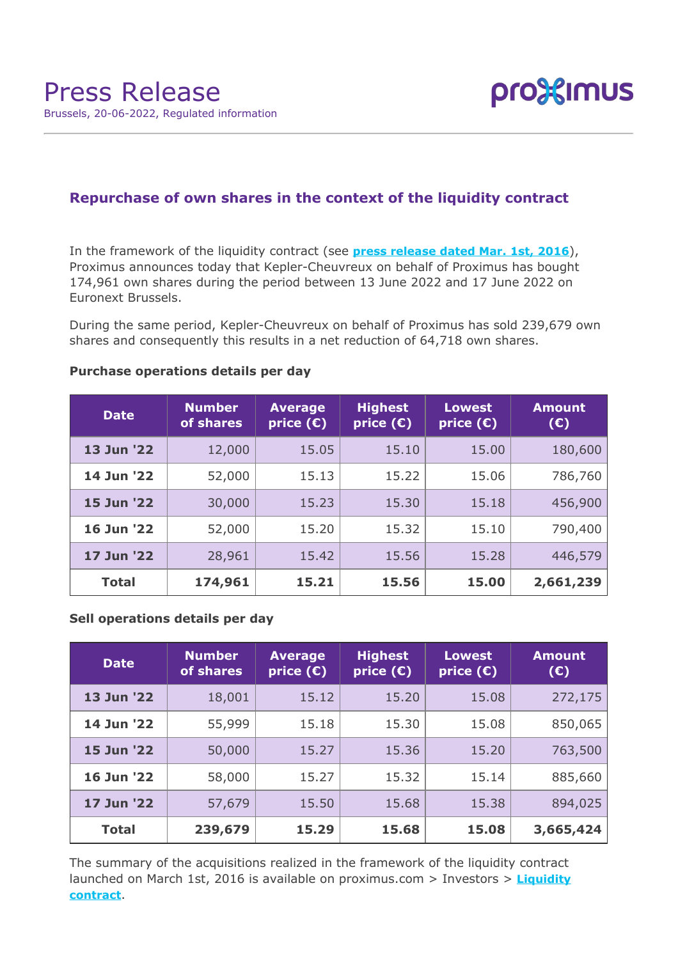

# **Repurchase of own shares in the context of the liquidity contract**

In the framework of the liquidity contract (see **[press release dated Mar. 1st, 2016](https://www.proximus.com/news/2016/proximus-enters-liquidity-contract.html)**), Proximus announces today that Kepler-Cheuvreux on behalf of Proximus has bought 174,961 own shares during the period between 13 June 2022 and 17 June 2022 on Euronext Brussels.

During the same period, Kepler-Cheuvreux on behalf of Proximus has sold 239,679 own shares and consequently this results in a net reduction of 64,718 own shares.

| <b>Date</b>  | <b>Number</b><br>of shares | <b>Average</b><br>price $(\epsilon)$ | <b>Highest</b><br>price $(E)$ | <b>Lowest</b><br>price $(\epsilon)$ | <b>Amount</b><br>(E) |
|--------------|----------------------------|--------------------------------------|-------------------------------|-------------------------------------|----------------------|
| 13 Jun '22   | 12,000                     | 15.05                                | 15.10                         | 15.00                               | 180,600              |
| 14 Jun '22   | 52,000                     | 15.13                                | 15.22                         | 15.06                               | 786,760              |
| 15 Jun '22   | 30,000                     | 15.23                                | 15.30                         | 15.18                               | 456,900              |
| 16 Jun '22   | 52,000                     | 15.20                                | 15.32                         | 15.10                               | 790,400              |
| 17 Jun '22   | 28,961                     | 15.42                                | 15.56                         | 15.28                               | 446,579              |
| <b>Total</b> | 174,961                    | 15.21                                | 15.56                         | 15.00                               | 2,661,239            |

### **Purchase operations details per day**

### **Sell operations details per day**

| <b>Date</b>  | <b>Number</b><br>of shares | <b>Average</b><br>$ $ price $(\bar{\mathbf{c}}) $ | <b>Highest</b><br>price $(E)$ | <b>Lowest</b><br>price $(\epsilon)$ | <b>Amount</b><br>$(\epsilon)$ |
|--------------|----------------------------|---------------------------------------------------|-------------------------------|-------------------------------------|-------------------------------|
| 13 Jun '22   | 18,001                     | 15.12                                             | 15.20                         | 15.08                               | 272,175                       |
| 14 Jun '22   | 55,999                     | 15.18                                             | 15.30                         | 15.08                               | 850,065                       |
| 15 Jun '22   | 50,000                     | 15.27                                             | 15.36                         | 15.20                               | 763,500                       |
| 16 Jun '22   | 58,000                     | 15.27                                             | 15.32                         | 15.14                               | 885,660                       |
| 17 Jun '22   | 57,679                     | 15.50                                             | 15.68                         | 15.38                               | 894,025                       |
| <b>Total</b> | 239,679                    | 15.29                                             | 15.68                         | 15.08                               | 3,665,424                     |

The summary of the acquisitions realized in the framework of the liquidity contract launched on March 1st, 2016 is available on proximus.com > Investors > **[Liquidity](https://www.proximus.com/en/investors/liquidity-contract.html) [contract](https://www.proximus.com/en/investors/liquidity-contract.html)**.